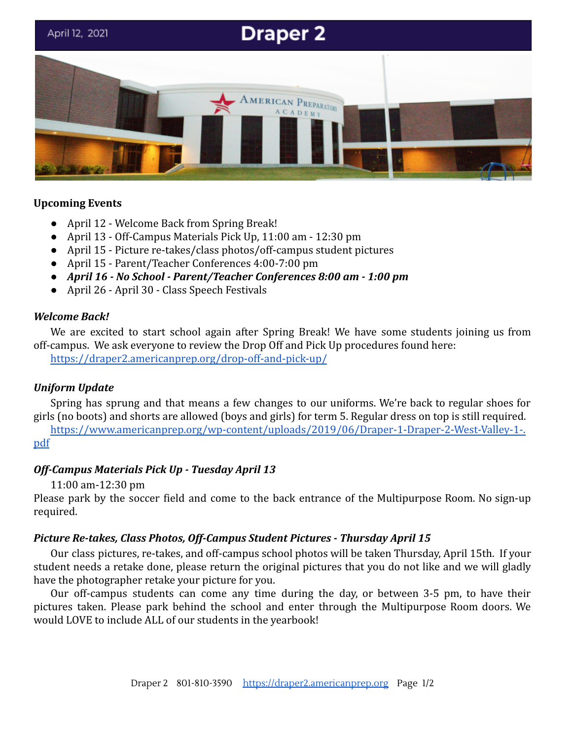# **Draper 2** April 12, 2021 MERICAN PREPARATORY CADEMY

# **Upcoming Events**

- April 12 Welcome Back from Spring Break!
- April 13 Off-Campus Materials Pick Up, 11:00 am 12:30 pm
- April 15 Picture re-takes/class photos/off-campus student pictures
- April 15 Parent/Teacher Conferences 4:00-7:00 pm
- *● April 16 No School Parent/Teacher Conferences 8:00 am 1:00 pm*
- April 26 April 30 Class Speech Festivals

#### *Welcome Back!*

We are excited to start school again after Spring Break! We have some students joining us from off-campus. We ask everyone to review the Drop Off and Pick Up procedures found here:

<https://draper2.americanprep.org/drop-off-and-pick-up/>

### *Uniform Update*

Spring has sprung and that means a few changes to our uniforms. We're back to regular shoes for girls (no boots) and shorts are allowed (boys and girls) for term 5. Regular dress on top is still required.

[https://www.americanprep.org/wp-content/uploads/2019/06/Draper-1-Draper-2-West-Valley-1-.](https://www.americanprep.org/wp-content/uploads/2019/06/Draper-1-Draper-2-West-Valley-1-.pdf) [pdf](https://www.americanprep.org/wp-content/uploads/2019/06/Draper-1-Draper-2-West-Valley-1-.pdf)

### *Off-Campus Materials Pick Up - Tuesday April 13*

11:00 am-12:30 pm

Please park by the soccer field and come to the back entrance of the Multipurpose Room. No sign-up required.

### *Picture Re-takes, Class Photos, Off-Campus Student Pictures - Thursday April 15*

Our class pictures, re-takes, and off-campus school photos will be taken Thursday, April 15th. If your student needs a retake done, please return the original pictures that you do not like and we will gladly have the photographer retake your picture for you.

Our off-campus students can come any time during the day, or between 3-5 pm, to have their pictures taken. Please park behind the school and enter through the Multipurpose Room doors. We would LOVE to include ALL of our students in the yearbook!